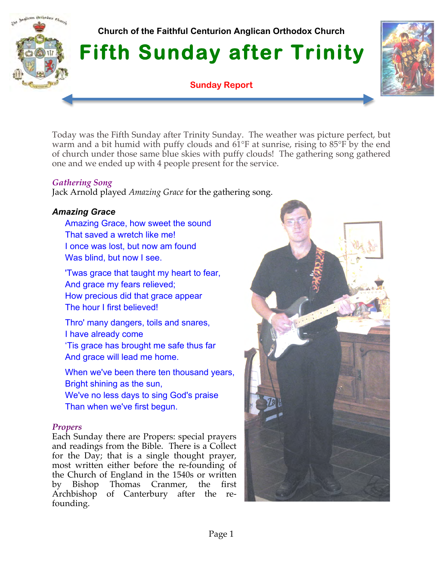# **Church of the Faithful Centurion Anglican Orthodox Church**

**Fifth Sunday after Trinity** 

**Sunday Report**



Today was the Fifth Sunday after Trinity Sunday. The weather was picture perfect, but warm and a bit humid with puffy clouds and 61°F at sunrise, rising to 85°F by the end of church under those same blue skies with puffy clouds! The gathering song gathered one and we ended up with 4 people present for the service.

### *Gathering Song*

Inglican Orthodox Church

Jack Arnold played *Amazing Grace* for the gathering song.

# *Amazing Grace*

Amazing Grace, how sweet the sound That saved a wretch like me! I once was lost, but now am found Was blind, but now I see.

'Twas grace that taught my heart to fear, And grace my fears relieved; How precious did that grace appear The hour I first believed!

Thro' many dangers, toils and snares, I have already come 'Tis grace has brought me safe thus far And grace will lead me home.

When we've been there ten thousand years, Bright shining as the sun, We've no less days to sing God's praise Than when we've first begun.

# *Propers*

Each Sunday there are Propers: special prayers and readings from the Bible. There is a Collect for the Day; that is a single thought prayer, most written either before the re-founding of the Church of England in the 1540s or written by Bishop Thomas Cranmer, the first Archbishop of Canterbury after the refounding.

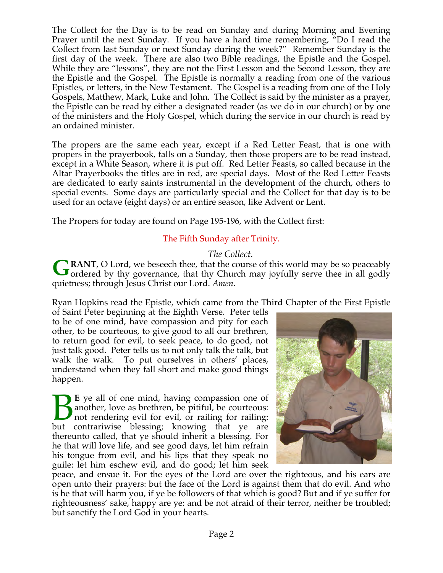The Collect for the Day is to be read on Sunday and during Morning and Evening Prayer until the next Sunday. If you have a hard time remembering, "Do I read the Collect from last Sunday or next Sunday during the week?" Remember Sunday is the first day of the week. There are also two Bible readings, the Epistle and the Gospel. While they are "lessons", they are not the First Lesson and the Second Lesson, they are the Epistle and the Gospel. The Epistle is normally a reading from one of the various Epistles, or letters, in the New Testament. The Gospel is a reading from one of the Holy Gospels, Matthew, Mark, Luke and John. The Collect is said by the minister as a prayer, the Epistle can be read by either a designated reader (as we do in our church) or by one of the ministers and the Holy Gospel, which during the service in our church is read by an ordained minister.

The propers are the same each year, except if a Red Letter Feast, that is one with propers in the prayerbook, falls on a Sunday, then those propers are to be read instead, except in a White Season, where it is put off. Red Letter Feasts, so called because in the Altar Prayerbooks the titles are in red, are special days. Most of the Red Letter Feasts are dedicated to early saints instrumental in the development of the church, others to special events. Some days are particularly special and the Collect for that day is to be used for an octave (eight days) or an entire season, like Advent or Lent.

The Propers for today are found on Page 195-196, with the Collect first:

# The Fifth Sunday after Trinity.

# *The Collect.*

**RANT**, O Lord, we beseech thee, that the course of this world may be so peaceably GRANT, O Lord, we beseech thee, that the course of this world may be so peaceably ordered by thy governance, that thy Church may joyfully serve thee in all godly quietness; through Jesus Christ our Lord. *Amen*.

Ryan Hopkins read the Epistle, which came from the Third Chapter of the First Epistle

of Saint Peter beginning at the Eighth Verse. Peter tells to be of one mind, have compassion and pity for each other, to be courteous, to give good to all our brethren, to return good for evil, to seek peace, to do good, not just talk good. Peter tells us to not only talk the talk, but walk the walk. To put ourselves in others' places, understand when they fall short and make good things happen.

**E** ye all of one mind, having compassion one of another, love as brethren, be pitiful, be courteous: not rendering evil for evil, or railing for railing: E ye all of one mind, having compassion one of another, love as brethren, be pitiful, be courteous:<br>
but contrariwise blessing; knowing that ye are thereunto called, that ye should inherit a blessing. For he that will love life, and see good days, let him refrain his tongue from evil, and his lips that they speak no guile: let him eschew evil, and do good; let him seek



peace, and ensue it. For the eyes of the Lord are over the righteous, and his ears are open unto their prayers: but the face of the Lord is against them that do evil. And who is he that will harm you, if ye be followers of that which is good? But and if ye suffer for righteousness' sake, happy are ye: and be not afraid of their terror, neither be troubled; but sanctify the Lord God in your hearts.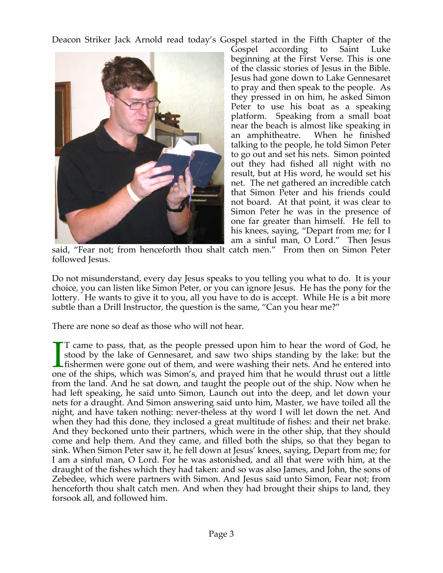Deacon Striker Jack Arnold read today's Gospel started in the Fifth Chapter of the



Gospel according to Saint Luke beginning at the First Verse. This is one of the classic stories of Jesus in the Bible. Jesus had gone down to Lake Gennesaret to pray and then speak to the people. As they pressed in on him, he asked Simon Peter to use his boat as a speaking platform. Speaking from a small boat near the beach is almost like speaking in an amphitheatre. When he finished talking to the people, he told Simon Peter to go out and set his nets. Simon pointed out they had fished all night with no result, but at His word, he would set his net. The net gathered an incredible catch that Simon Peter and his friends could not board. At that point, it was clear to Simon Peter he was in the presence of one far greater than himself. He fell to his knees, saying, "Depart from me; for I am a sinful man, O Lord." Then Jesus

said, "Fear not; from henceforth thou shalt catch men." From then on Simon Peter followed Jesus.

Do not misunderstand, every day Jesus speaks to you telling you what to do. It is your choice, you can listen like Simon Peter, or you can ignore Jesus. He has the pony for the lottery. He wants to give it to you, all you have to do is accept. While He is a bit more subtle than a Drill Instructor, the question is the same, "Can you hear me?"

There are none so deaf as those who will not hear.

T came to pass, that, as the people pressed upon him to hear the word of God, he stood by the lake of Gennesaret, and saw two ships standing by the lake: but the fishermen were gone out of them, and were washing their nets. And he entered into one of the ships, which was Simon's, and prayed him that he would thrust out a little from the land. And he sat down, and taught the people out of the ship. Now when he had left speaking, he said unto Simon, Launch out into the deep, and let down your nets for a draught. And Simon answering said unto him, Master, we have toiled all the night, and have taken nothing: never-theless at thy word I will let down the net. And when they had this done, they inclosed a great multitude of fishes: and their net brake. And they beckoned unto their partners, which were in the other ship, that they should come and help them. And they came, and filled both the ships, so that they began to sink. When Simon Peter saw it, he fell down at Jesus' knees, saying, Depart from me; for I am a sinful man, O Lord. For he was astonished, and all that were with him, at the draught of the fishes which they had taken: and so was also James, and John, the sons of Zebedee, which were partners with Simon. And Jesus said unto Simon, Fear not; from henceforth thou shalt catch men. And when they had brought their ships to land, they forsook all, and followed him.  $\prod_{\text{one}}$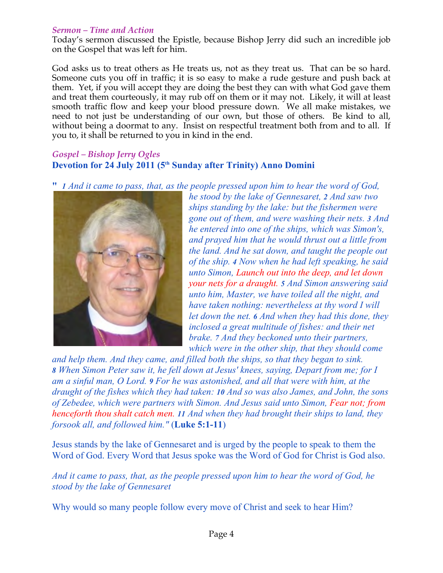### *Sermon – Time and Action*

Today's sermon discussed the Epistle, because Bishop Jerry did such an incredible job on the Gospel that was left for him.

God asks us to treat others as He treats us, not as they treat us. That can be so hard. Someone cuts you off in traffic; it is so easy to make a rude gesture and push back at them. Yet, if you will accept they are doing the best they can with what God gave them and treat them courteously, it may rub off on them or it may not. Likely, it will at least smooth traffic flow and keep your blood pressure down. We all make mistakes, we need to not just be understanding of our own, but those of others. Be kind to all, without being a doormat to any. Insist on respectful treatment both from and to all. If you to, it shall be returned to you in kind in the end.

# *Gospel – Bishop Jerry Ogles* **Devotion for 24 July 2011 (5th Sunday after Trinity) Anno Domini**

**"** *1 And it came to pass, that, as the people pressed upon him to hear the word of God,* 



*he stood by the lake of Gennesaret, 2 And saw two ships standing by the lake: but the fishermen were gone out of them, and were washing their nets. 3 And he entered into one of the ships, which was Simon's, and prayed him that he would thrust out a little from the land. And he sat down, and taught the people out of the ship. 4 Now when he had left speaking, he said unto Simon, Launch out into the deep, and let down your nets for a draught. 5 And Simon answering said unto him, Master, we have toiled all the night, and have taken nothing: nevertheless at thy word I will let down the net. 6 And when they had this done, they inclosed a great multitude of fishes: and their net brake. 7 And they beckoned unto their partners, which were in the other ship, that they should come* 

*and help them. And they came, and filled both the ships, so that they began to sink. 8 When Simon Peter saw it, he fell down at Jesus' knees, saying, Depart from me; for I am a sinful man, O Lord. 9 For he was astonished, and all that were with him, at the draught of the fishes which they had taken: 10 And so was also James, and John, the sons of Zebedee, which were partners with Simon. And Jesus said unto Simon, Fear not; from henceforth thou shalt catch men. 11 And when they had brought their ships to land, they forsook all, and followed him."* (**Luke 5:1-11**)

Jesus stands by the lake of Gennesaret and is urged by the people to speak to them the Word of God. Every Word that Jesus spoke was the Word of God for Christ is God also.

*And it came to pass, that, as the people pressed upon him to hear the word of God, he stood by the lake of Gennesaret*

Why would so many people follow every move of Christ and seek to hear Him?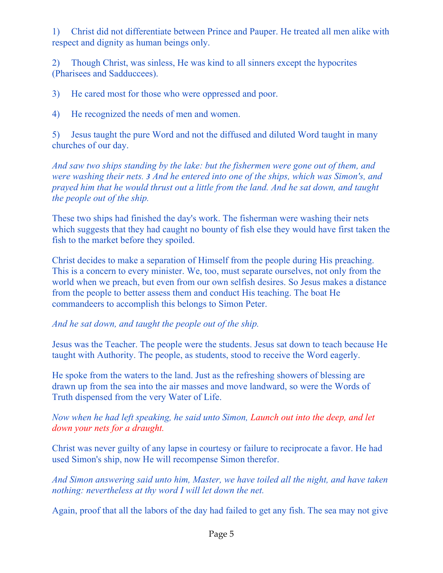1) Christ did not differentiate between Prince and Pauper. He treated all men alike with respect and dignity as human beings only.

2) Though Christ, was sinless, He was kind to all sinners except the hypocrites (Pharisees and Sadduccees).

3) He cared most for those who were oppressed and poor.

4) He recognized the needs of men and women.

5) Jesus taught the pure Word and not the diffused and diluted Word taught in many churches of our day.

*And saw two ships standing by the lake: but the fishermen were gone out of them, and were washing their nets. 3 And he entered into one of the ships, which was Simon's, and prayed him that he would thrust out a little from the land. And he sat down, and taught the people out of the ship.*

These two ships had finished the day's work. The fisherman were washing their nets which suggests that they had caught no bounty of fish else they would have first taken the fish to the market before they spoiled.

Christ decides to make a separation of Himself from the people during His preaching. This is a concern to every minister. We, too, must separate ourselves, not only from the world when we preach, but even from our own selfish desires. So Jesus makes a distance from the people to better assess them and conduct His teaching. The boat He commandeers to accomplish this belongs to Simon Peter.

*And he sat down, and taught the people out of the ship.*

Jesus was the Teacher. The people were the students. Jesus sat down to teach because He taught with Authority. The people, as students, stood to receive the Word eagerly.

He spoke from the waters to the land. Just as the refreshing showers of blessing are drawn up from the sea into the air masses and move landward, so were the Words of Truth dispensed from the very Water of Life.

*Now when he had left speaking, he said unto Simon, Launch out into the deep, and let down your nets for a draught.*

Christ was never guilty of any lapse in courtesy or failure to reciprocate a favor. He had used Simon's ship, now He will recompense Simon therefor.

*And Simon answering said unto him, Master, we have toiled all the night, and have taken nothing: nevertheless at thy word I will let down the net.*

Again, proof that all the labors of the day had failed to get any fish. The sea may not give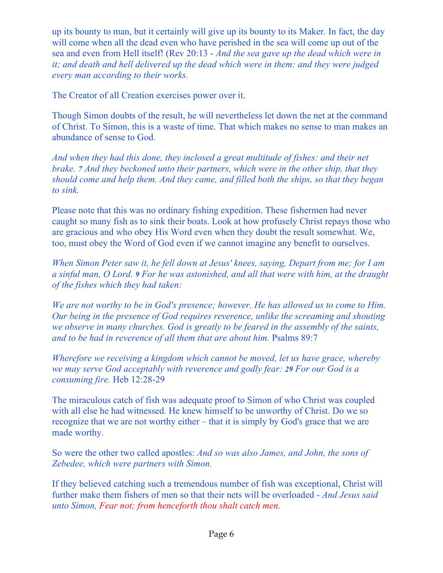up its bounty to man, but it certainly will give up its bounty to its Maker. In fact, the day will come when all the dead even who have perished in the sea will come up out of the sea and even from Hell itself! (Rev 20:13 - *And the sea gave up the dead which were in it; and death and hell delivered up the dead which were in them: and they were judged every man according to their works.*

The Creator of all Creation exercises power over it.

Though Simon doubts of the result, he will nevertheless let down the net at the command of Christ. To Simon, this is a waste of time. That which makes no sense to man makes an abundance of sense to God.

*And when they had this done, they inclosed a great multitude of fishes: and their net brake. 7 And they beckoned unto their partners, which were in the other ship, that they should come and help them. And they came, and filled both the ships, so that they began to sink.*

Please note that this was no ordinary fishing expedition. These fishermen had never caught so many fish as to sink their boats. Look at how profusely Christ repays those who are gracious and who obey His Word even when they doubt the result somewhat. We, too, must obey the Word of God even if we cannot imagine any benefit to ourselves.

*When Simon Peter saw it, he fell down at Jesus' knees, saying, Depart from me; for I am a sinful man, O Lord. 9 For he was astonished, and all that were with him, at the draught of the fishes which they had taken:*

*We are not worthy to be in God's presence; however, He has allowed us to come to Him. Our being in the presence of God requires reverence, unlike the screaming and shouting we observe in many churches. God is greatly to be feared in the assembly of the saints, and to be had in reverence of all them that are about him.* Psalms 89:7

*Wherefore we receiving a kingdom which cannot be moved, let us have grace, whereby we may serve God acceptably with reverence and godly fear: 29 For our God is a consuming fire.* Heb 12:28-29

The miraculous catch of fish was adequate proof to Simon of who Christ was coupled with all else he had witnessed. He knew himself to be unworthy of Christ. Do we so recognize that we are not worthy either – that it is simply by God's grace that we are made worthy.

So were the other two called apostles: *And so was also James, and John, the sons of Zebedee, which were partners with Simon.*

If they believed catching such a tremendous number of fish was exceptional, Christ will further make them fishers of men so that their nets will be overloaded - *And Jesus said unto Simon, Fear not; from henceforth thou shalt catch men.*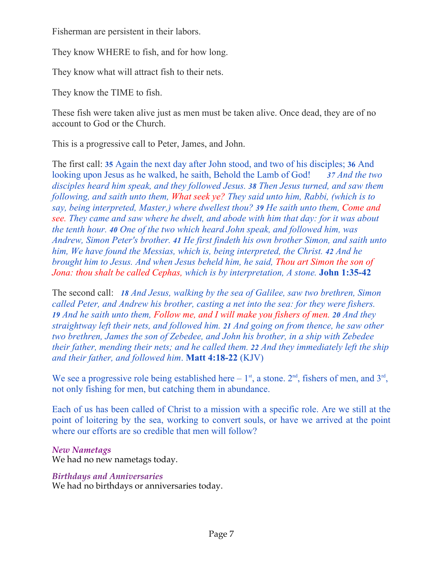Fisherman are persistent in their labors.

They know WHERE to fish, and for how long.

They know what will attract fish to their nets.

They know the TIME to fish.

These fish were taken alive just as men must be taken alive. Once dead, they are of no account to God or the Church.

This is a progressive call to Peter, James, and John.

The first call: **35** Again the next day after John stood, and two of his disciples; **36** And looking upon Jesus as he walked, he saith, Behold the Lamb of God! *37 And the two disciples heard him speak, and they followed Jesus. 38 Then Jesus turned, and saw them following, and saith unto them, What seek ye? They said unto him, Rabbi, (which is to say, being interpreted, Master,) where dwellest thou? 39 He saith unto them, Come and see. They came and saw where he dwelt, and abode with him that day: for it was about the tenth hour. 40 One of the two which heard John speak, and followed him, was Andrew, Simon Peter's brother. 41 He first findeth his own brother Simon, and saith unto him, We have found the Messias, which is, being interpreted, the Christ. 42 And he brought him to Jesus. And when Jesus beheld him, he said, Thou art Simon the son of Jona: thou shalt be called Cephas, which is by interpretation, A stone.* **John 1:35-42** 

The second call: *18 And Jesus, walking by the sea of Galilee, saw two brethren, Simon called Peter, and Andrew his brother, casting a net into the sea: for they were fishers. 19 And he saith unto them, Follow me, and I will make you fishers of men. 20 And they straightway left their nets, and followed him. 21 And going on from thence, he saw other two brethren, James the son of Zebedee, and John his brother, in a ship with Zebedee their father, mending their nets; and he called them. 22 And they immediately left the ship and their father, and followed him*. **Matt 4:18-22** (KJV)

We see a progressive role being established here –  $1<sup>st</sup>$ , a stone.  $2<sup>nd</sup>$ , fishers of men, and  $3<sup>rd</sup>$ , not only fishing for men, but catching them in abundance.

Each of us has been called of Christ to a mission with a specific role. Are we still at the point of loitering by the sea, working to convert souls, or have we arrived at the point where our efforts are so credible that men will follow?

# *New Nametags*

We had no new nametags today.

# *Birthdays and Anniversaries*

We had no birthdays or anniversaries today.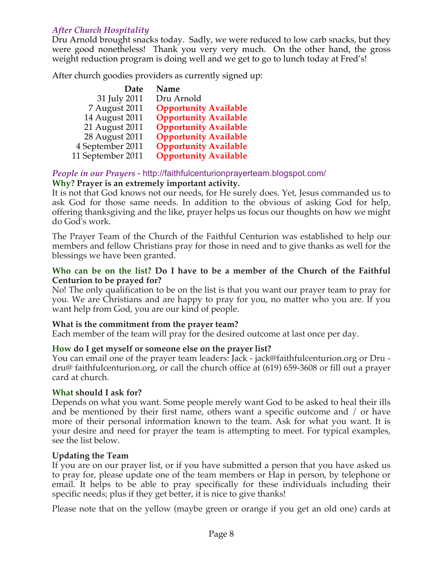# *After Church Hospitality*

Dru Arnold brought snacks today. Sadly, we were reduced to low carb snacks, but they were good nonetheless! Thank you very very much. On the other hand, the gross weight reduction program is doing well and we get to go to lunch today at Fred's!

After church goodies providers as currently signed up:

| Name                         |
|------------------------------|
| Dru Arnold                   |
| <b>Opportunity Available</b> |
| <b>Opportunity Available</b> |
| <b>Opportunity Available</b> |
| <b>Opportunity Available</b> |
| <b>Opportunity Available</b> |
| <b>Opportunity Available</b> |
|                              |

# *People in our Prayers* - http://faithfulcenturionprayerteam.blogspot.com/ **Why? Prayer is an extremely important activity.**

It is not that God knows not our needs, for He surely does. Yet, Jesus commanded us to ask God for those same needs. In addition to the obvious of asking God for help, offering thanksgiving and the like, prayer helps us focus our thoughts on how we might do God's work.

The Prayer Team of the Church of the Faithful Centurion was established to help our members and fellow Christians pray for those in need and to give thanks as well for the blessings we have been granted.

### **Who can be on the list? Do I have to be a member of the Church of the Faithful Centurion to be prayed for?**

No! The only qualification to be on the list is that you want our prayer team to pray for you. We are Christians and are happy to pray for you, no matter who you are. If you want help from God, you are our kind of people.

### **What is the commitment from the prayer team?**

Each member of the team will pray for the desired outcome at last once per day.

### **How do I get myself or someone else on the prayer list?**

You can email one of the prayer team leaders: Jack - jack@faithfulcenturion.org or Dru dru@ faithfulcenturion.org, or call the church office at (619) 659-3608 or fill out a prayer card at church.

### **What should I ask for?**

Depends on what you want. Some people merely want God to be asked to heal their ills and be mentioned by their first name, others want a specific outcome and / or have more of their personal information known to the team. Ask for what you want. It is your desire and need for prayer the team is attempting to meet. For typical examples, see the list below.

### **Updating the Team**

If you are on our prayer list, or if you have submitted a person that you have asked us to pray for, please update one of the team members or Hap in person, by telephone or email. It helps to be able to pray specifically for these individuals including their specific needs; plus if they get better, it is nice to give thanks!

Please note that on the yellow (maybe green or orange if you get an old one) cards at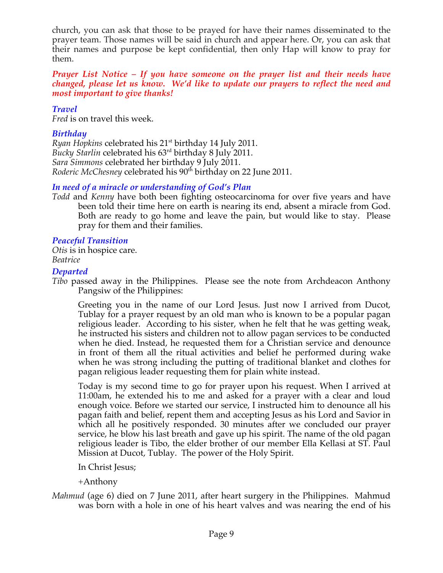church, you can ask that those to be prayed for have their names disseminated to the prayer team. Those names will be said in church and appear here. Or, you can ask that their names and purpose be kept confidential, then only Hap will know to pray for them.

### *Prayer List Notice – If you have someone on the prayer list and their needs have changed, please let us know. We'd like to update our prayers to reflect the need and most important to give thanks!*

### *Travel*

*Fred* is on travel this week.

# *Birthday*

*Ryan Hopkins celebrated his* 21<sup>st</sup> birthday 14 July 2011. *Bucky Starlin* celebrated his 63rd birthday 8 July 2011. *Sara Simmons* celebrated her birthday 9 July 2011. *Roderic McChesney* celebrated his 90<sup>th</sup> birthday on 22 June 2011.

# *In need of a miracle or understanding of God's Plan*

*Todd* and *Kenny* have both been fighting osteocarcinoma for over five years and have been told their time here on earth is nearing its end, absent a miracle from God. Both are ready to go home and leave the pain, but would like to stay. Please pray for them and their families.

### *Peaceful Transition*

*Otis* is in hospice care. *Beatrice*

### *Departed*

*Tibo* passed away in the Philippines. Please see the note from Archdeacon Anthony Pangsiw of the Philippines:

Greeting you in the name of our Lord Jesus. Just now I arrived from Ducot, Tublay for a prayer request by an old man who is known to be a popular pagan religious leader. According to his sister, when he felt that he was getting weak, he instructed his sisters and children not to allow pagan services to be conducted when he died. Instead, he requested them for a Christian service and denounce in front of them all the ritual activities and belief he performed during wake when he was strong including the putting of traditional blanket and clothes for pagan religious leader requesting them for plain white instead.

Today is my second time to go for prayer upon his request. When I arrived at 11:00am, he extended his to me and asked for a prayer with a clear and loud enough voice. Before we started our service, I instructed him to denounce all his pagan faith and belief, repent them and accepting Jesus as his Lord and Savior in which all he positively responded. 30 minutes after we concluded our prayer service, he blow his last breath and gave up his spirit. The name of the old pagan religious leader is Tibo, the elder brother of our member Ella Kellasi at ST. Paul Mission at Ducot, Tublay. The power of the Holy Spirit.

In Christ Jesus;

+Anthony

*Mahmud* (age 6) died on 7 June 2011, after heart surgery in the Philippines. Mahmud was born with a hole in one of his heart valves and was nearing the end of his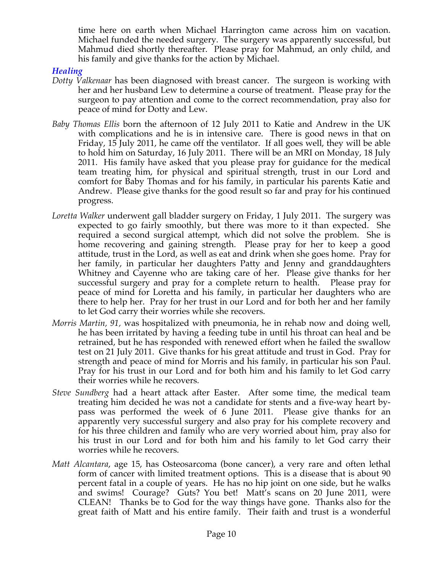time here on earth when Michael Harrington came across him on vacation. Michael funded the needed surgery. The surgery was apparently successful, but Mahmud died shortly thereafter. Please pray for Mahmud, an only child, and his family and give thanks for the action by Michael.

### *Healing*

- *Dotty Valkenaar* has been diagnosed with breast cancer. The surgeon is working with her and her husband Lew to determine a course of treatment. Please pray for the surgeon to pay attention and come to the correct recommendation, pray also for peace of mind for Dotty and Lew.
- *Baby Thomas Ellis* born the afternoon of 12 July 2011 to Katie and Andrew in the UK with complications and he is in intensive care. There is good news in that on Friday, 15 July 2011, he came off the ventilator. If all goes well, they will be able to hold him on Saturday, 16 July 2011. There will be an MRI on Monday, 18 July 2011. His family have asked that you please pray for guidance for the medical team treating him, for physical and spiritual strength, trust in our Lord and comfort for Baby Thomas and for his family, in particular his parents Katie and Andrew. Please give thanks for the good result so far and pray for his continued progress.
- *Loretta Walker* underwent gall bladder surgery on Friday, 1 July 2011. The surgery was expected to go fairly smoothly, but there was more to it than expected. She required a second surgical attempt, which did not solve the problem. She is home recovering and gaining strength. Please pray for her to keep a good attitude, trust in the Lord, as well as eat and drink when she goes home. Pray for her family, in particular her daughters Patty and Jenny and granddaughters Whitney and Cayenne who are taking care of her. Please give thanks for her successful surgery and pray for a complete return to health. Please pray for peace of mind for Loretta and his family, in particular her daughters who are there to help her. Pray for her trust in our Lord and for both her and her family to let God carry their worries while she recovers.
- *Morris Martin, 91,* was hospitalized with pneumonia, he in rehab now and doing well, he has been irritated by having a feeding tube in until his throat can heal and be retrained, but he has responded with renewed effort when he failed the swallow test on 21 July 2011. Give thanks for his great attitude and trust in God. Pray for strength and peace of mind for Morris and his family, in particular his son Paul. Pray for his trust in our Lord and for both him and his family to let God carry their worries while he recovers.
- *Steve Sundberg* had a heart attack after Easter. After some time, the medical team treating him decided he was not a candidate for stents and a five-way heart bypass was performed the week of 6 June 2011. Please give thanks for an apparently very successful surgery and also pray for his complete recovery and for his three children and family who are very worried about him, pray also for his trust in our Lord and for both him and his family to let God carry their worries while he recovers.
- *Matt Alcantara*, age 15, has Osteosarcoma (bone cancer), a very rare and often lethal form of cancer with limited treatment options. This is a disease that is about 90 percent fatal in a couple of years. He has no hip joint on one side, but he walks and swims! Courage? Guts? You bet! Matt's scans on 20 June 2011, were CLEAN! Thanks be to God for the way things have gone. Thanks also for the great faith of Matt and his entire family. Their faith and trust is a wonderful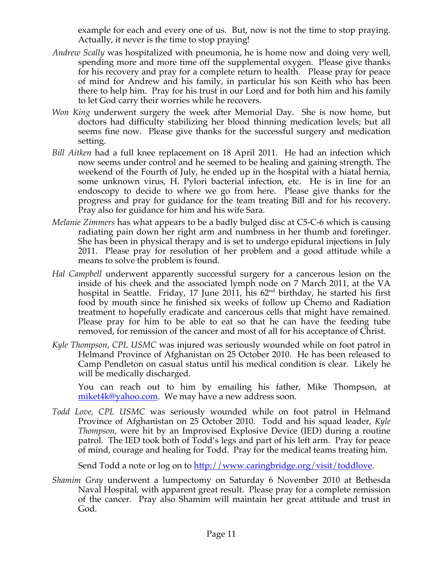example for each and every one of us. But, now is not the time to stop praying. Actually, it never is the time to stop praying!

- *Andrew Scally* was hospitalized with pneumonia, he is home now and doing very well, spending more and more time off the supplemental oxygen. Please give thanks for his recovery and pray for a complete return to health. Please pray for peace of mind for Andrew and his family, in particular his son Keith who has been there to help him. Pray for his trust in our Lord and for both him and his family to let God carry their worries while he recovers.
- *Won King* underwent surgery the week after Memorial Day. She is now home, but doctors had difficulty stabilizing her blood thinning medication levels; but all seems fine now. Please give thanks for the successful surgery and medication setting.
- *Bill Aitken* had a full knee replacement on 18 April 2011. He had an infection which now seems under control and he seemed to be healing and gaining strength. The weekend of the Fourth of July, he ended up in the hospital with a hiatal hernia, some unknown virus, H. Pylori bacterial infection, etc. He is in line for an endoscopy to decide to where we go from here. Please give thanks for the progress and pray for guidance for the team treating Bill and for his recovery. Pray also for guidance for him and his wife Sara.
- *Melanie Zimmers* has what appears to be a badly bulged disc at C5-C-6 which is causing radiating pain down her right arm and numbness in her thumb and forefinger. She has been in physical therapy and is set to undergo epidural injections in July 2011. Please pray for resolution of her problem and a good attitude while a means to solve the problem is found.
- *Hal Campbell* underwent apparently successful surgery for a cancerous lesion on the inside of his cheek and the associated lymph node on 7 March 2011, at the VA hospital in Seattle. Friday, 17 June 2011, his  $62<sup>nd</sup>$  birthday, he started his first food by mouth since he finished six weeks of follow up Chemo and Radiation treatment to hopefully eradicate and cancerous cells that might have remained. Please pray for him to be able to eat so that he can have the feeding tube removed, for remission of the cancer and most of all for his acceptance of Christ.
- *Kyle Thompson, CPL USMC* was injured was seriously wounded while on foot patrol in Helmand Province of Afghanistan on 25 October 2010. He has been released to Camp Pendleton on casual status until his medical condition is clear. Likely he will be medically discharged.

You can reach out to him by emailing his father, Mike Thompson, at miket4k@yahoo.com. We may have a new address soon.

*Todd Love, CPL USMC* was seriously wounded while on foot patrol in Helmand Province of Afghanistan on 25 October 2010. Todd and his squad leader, *Kyle Thompson*, were hit by an Improvised Explosive Device (IED) during a routine patrol. The IED took both of Todd's legs and part of his left arm. Pray for peace of mind, courage and healing for Todd. Pray for the medical teams treating him.

Send Todd a note or log on to http://www.caringbridge.org/visit/toddlove.

*Shamim Gray* underwent a lumpectomy on Saturday 6 November 2010 at Bethesda Naval Hospital, with apparent great result. Please pray for a complete remission of the cancer. Pray also Shamim will maintain her great attitude and trust in God.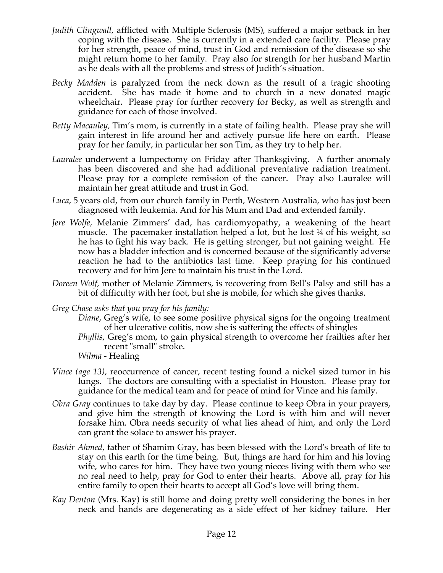- *Judith Clingwall*, afflicted with Multiple Sclerosis (MS), suffered a major setback in her coping with the disease. She is currently in a extended care facility. Please pray for her strength, peace of mind, trust in God and remission of the disease so she might return home to her family. Pray also for strength for her husband Martin as he deals with all the problems and stress of Judith's situation.
- *Becky Madden* is paralyzed from the neck down as the result of a tragic shooting accident. She has made it home and to church in a new donated magic wheelchair. Please pray for further recovery for Becky, as well as strength and guidance for each of those involved.
- *Betty Macauley,* Tim's mom, is currently in a state of failing health. Please pray she will gain interest in life around her and actively pursue life here on earth. Please pray for her family, in particular her son Tim, as they try to help her.
- *Lauralee* underwent a lumpectomy on Friday after Thanksgiving. A further anomaly has been discovered and she had additional preventative radiation treatment. Please pray for a complete remission of the cancer. Pray also Lauralee will maintain her great attitude and trust in God.
- *Luca*, 5 years old, from our church family in Perth, Western Australia, who has just been diagnosed with leukemia. And for his Mum and Dad and extended family.
- *Jere Wolfe,* Melanie Zimmers' dad, has cardiomyopathy, a weakening of the heart muscle. The pacemaker installation helped a lot, but he lost ¼ of his weight, so he has to fight his way back. He is getting stronger, but not gaining weight. He now has a bladder infection and is concerned because of the significantly adverse reaction he had to the antibiotics last time. Keep praying for his continued recovery and for him Jere to maintain his trust in the Lord.
- *Doreen Wolf*, mother of Melanie Zimmers, is recovering from Bell's Palsy and still has a bit of difficulty with her foot, but she is mobile, for which she gives thanks.
- *Greg Chase asks that you pray for his family:*
	- *Diane*, Greg's wife, to see some positive physical signs for the ongoing treatment of her ulcerative colitis, now she is suffering the effects of shingles
	- *Phyllis*, Greg's mom, to gain physical strength to overcome her frailties after her recent "small" stroke.
	- *Wilma*  Healing
- *Vince (age 13), reoccurrence of cancer, recent testing found a nickel sized tumor in his* lungs. The doctors are consulting with a specialist in Houston. Please pray for guidance for the medical team and for peace of mind for Vince and his family.
- *Obra Gray* continues to take day by day. Please continue to keep Obra in your prayers, and give him the strength of knowing the Lord is with him and will never forsake him. Obra needs security of what lies ahead of him, and only the Lord can grant the solace to answer his prayer.
- *Bashir Ahmed*, father of Shamim Gray, has been blessed with the Lord's breath of life to stay on this earth for the time being. But, things are hard for him and his loving wife, who cares for him. They have two young nieces living with them who see no real need to help, pray for God to enter their hearts. Above all, pray for his entire family to open their hearts to accept all God's love will bring them.
- *Kay Denton* (Mrs. Kay) is still home and doing pretty well considering the bones in her neck and hands are degenerating as a side effect of her kidney failure. Her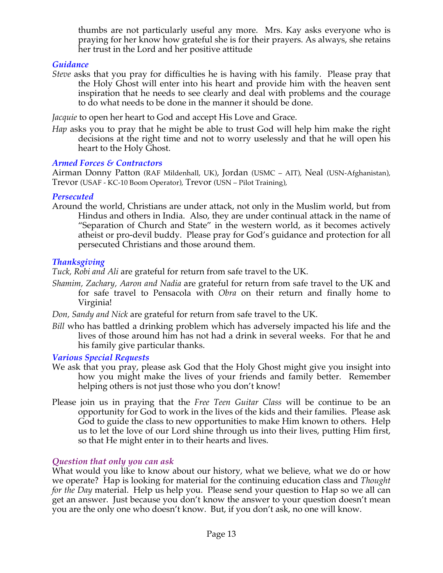thumbs are not particularly useful any more. Mrs. Kay asks everyone who is praying for her know how grateful she is for their prayers. As always, she retains her trust in the Lord and her positive attitude.

# *Guidance*

*Steve* asks that you pray for difficulties he is having with his family. Please pray that the Holy Ghost will enter into his heart and provide him with the heaven sent inspiration that he needs to see clearly and deal with problems and the courage to do what needs to be done in the manner it should be done.

*Jacquie* to open her heart to God and accept His Love and Grace.

*Hap* asks you to pray that he might be able to trust God will help him make the right decisions at the right time and not to worry uselessly and that he will open his heart to the Holy Ghost.

# *Armed Forces & Contractors*

Airman Donny Patton (RAF Mildenhall, UK), Jordan (USMC – AIT), Neal (USN-Afghanistan), Trevor (USAF - KC-10 Boom Operator), Trevor (USN – Pilot Training),

### *Persecuted*

Around the world, Christians are under attack, not only in the Muslim world, but from Hindus and others in India. Also, they are under continual attack in the name of "Separation of Church and State" in the western world, as it becomes actively atheist or pro-devil buddy. Please pray for God's guidance and protection for all persecuted Christians and those around them.

# *Thanksgiving*

*Tuck, Robi and Ali* are grateful for return from safe travel to the UK.

*Shamim, Zachary, Aaron and Nadia* are grateful for return from safe travel to the UK and for safe travel to Pensacola with *Obra* on their return and finally home to Virginia!

*Don, Sandy and Nick* are grateful for return from safe travel to the UK.

*Bill* who has battled a drinking problem which has adversely impacted his life and the lives of those around him has not had a drink in several weeks. For that he and his family give particular thanks.

# *Various Special Requests*

- We ask that you pray, please ask God that the Holy Ghost might give you insight into how you might make the lives of your friends and family better. Remember helping others is not just those who you don't know!
- Please join us in praying that the *Free Teen Guitar Class* will be continue to be an opportunity for God to work in the lives of the kids and their families. Please ask God to guide the class to new opportunities to make Him known to others. Help us to let the love of our Lord shine through us into their lives, putting Him first, so that He might enter in to their hearts and lives.

# *Question that only you can ask*

What would you like to know about our history, what we believe, what we do or how we operate? Hap is looking for material for the continuing education class and *Thought for the Day* material. Help us help you. Please send your question to Hap so we all can get an answer. Just because you don't know the answer to your question doesn't mean you are the only one who doesn't know. But, if you don't ask, no one will know.